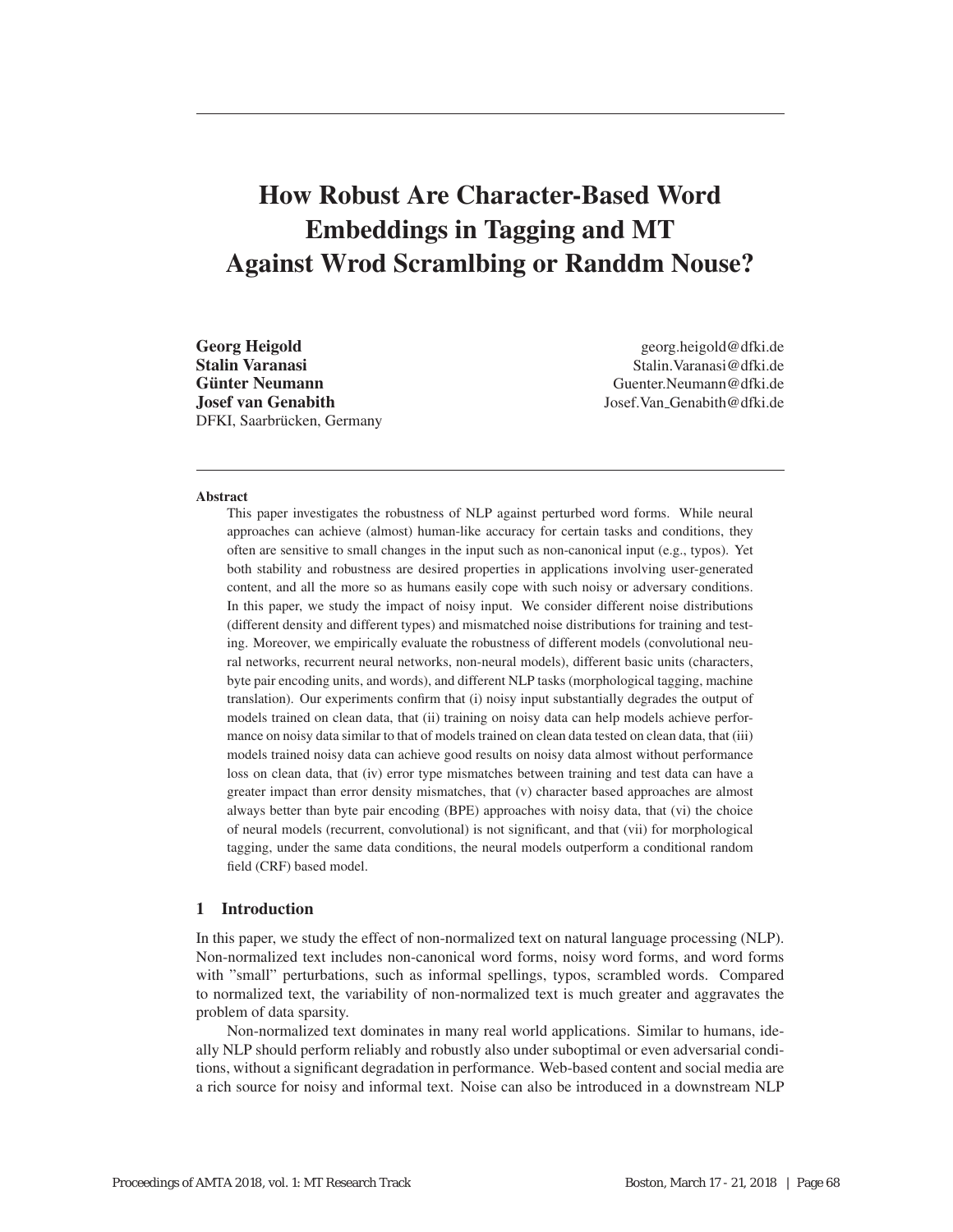# How Robust Are Character-Based Word Embeddings in Tagging and MT Against Wrod Scramlbing or Randdm Nouse?

Stalin Varanasi (Stalin) (Stalin Varanasi (Stalin Varanasi (Stalin Varanasi (Stalin Varanasi (Stalin Varanasi (Stalin Varanasi (Stalin Varanasi (Stalin Varanasi (Stalin Varanasi (Stalin Varanasi (Stalin Varanasi (Stalin Va Josef van Genabith Josef.Van Genabith@dfki.de DFKI, Saarbrücken, Germany

Georg Heigold Georg.heigold georg.heigold@dfki.de Guenter Neumann @dfki.de

#### Abstract

This paper investigates the robustness of NLP against perturbed word forms. While neural approaches can achieve (almost) human-like accuracy for certain tasks and conditions, they often are sensitive to small changes in the input such as non-canonical input (e.g., typos). Yet both stability and robustness are desired properties in applications involving user-generated content, and all the more so as humans easily cope with such noisy or adversary conditions. In this paper, we study the impact of noisy input. We consider different noise distributions (different density and different types) and mismatched noise distributions for training and testing. Moreover, we empirically evaluate the robustness of different models (convolutional neural networks, recurrent neural networks, non-neural models), different basic units (characters, byte pair encoding units, and words), and different NLP tasks (morphological tagging, machine translation). Our experiments confirm that (i) noisy input substantially degrades the output of models trained on clean data, that (ii) training on noisy data can help models achieve performance on noisy data similar to that of models trained on clean data tested on clean data, that (iii) models trained noisy data can achieve good results on noisy data almost without performance loss on clean data, that (iv) error type mismatches between training and test data can have a greater impact than error density mismatches, that (v) character based approaches are almost always better than byte pair encoding (BPE) approaches with noisy data, that (vi) the choice of neural models (recurrent, convolutional) is not significant, and that (vii) for morphological tagging, under the same data conditions, the neural models outperform a conditional random field (CRF) based model.

# 1 Introduction

In this paper, we study the effect of non-normalized text on natural language processing (NLP). Non-normalized text includes non-canonical word forms, noisy word forms, and word forms with "small" perturbations, such as informal spellings, typos, scrambled words. Compared to normalized text, the variability of non-normalized text is much greater and aggravates the problem of data sparsity.

Non-normalized text dominates in many real world applications. Similar to humans, ideally NLP should perform reliably and robustly also under suboptimal or even adversarial conditions, without a significant degradation in performance. Web-based content and social media are a rich source for noisy and informal text. Noise can also be introduced in a downstream NLP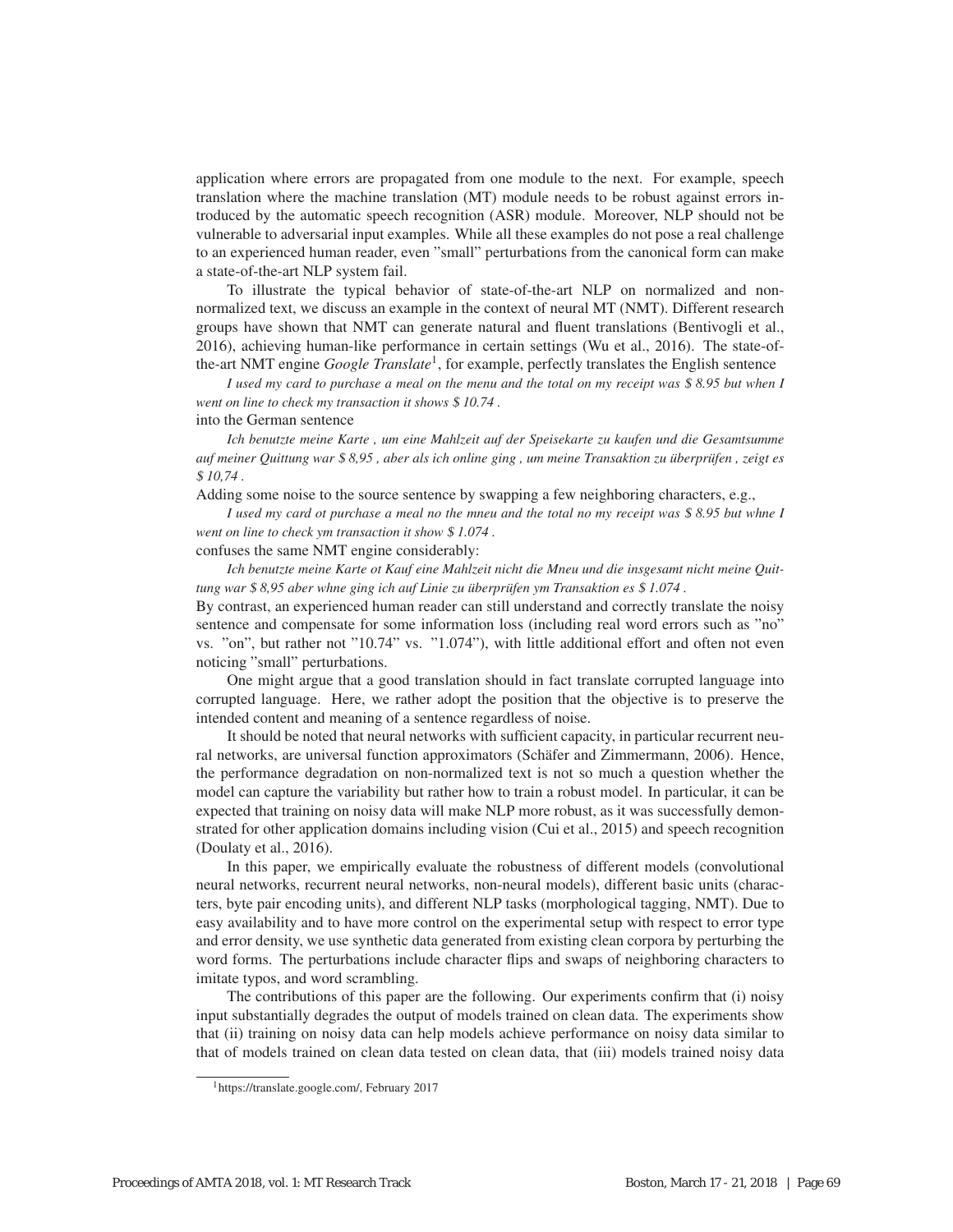application where errors are propagated from one module to the next. For example, speech translation where the machine translation (MT) module needs to be robust against errors introduced by the automatic speech recognition (ASR) module. Moreover, NLP should not be vulnerable to adversarial input examples. While all these examples do not pose a real challenge to an experienced human reader, even "small" perturbations from the canonical form can make a state-of-the-art NLP system fail.

To illustrate the typical behavior of state-of-the-art NLP on normalized and nonnormalized text, we discuss an example in the context of neural MT (NMT). Different research groups have shown that NMT can generate natural and fluent translations (Bentivogli et al., 2016), achieving human-like performance in certain settings (Wu et al., 2016). The state-ofthe-art NMT engine *Google Translate*1, for example, perfectly translates the English sentence

*I used my card to purchase a meal on the menu and the total on my receipt was* \$ *8.95 but when I went on line to check my transaction it shows* \$ *10.74 .*

into the German sentence

*Ich benutzte meine Karte , um eine Mahlzeit auf der Speisekarte zu kaufen und die Gesamtsumme auf meiner Quittung war* \$ 8,95, aber als *ich online ging, um meine Transaktion zu überprüfen, zeigt es* \$ *10,74 .*

Adding some noise to the source sentence by swapping a few neighboring characters, e.g.,

*I used my card ot purchase a meal no the mneu and the total no my receipt was* \$ *8.95 but whne I went on line to check ym transaction it show* \$ *1.074 .*

confuses the same NMT engine considerably:

*Ich benutzte meine Karte ot Kauf eine Mahlzeit nicht die Mneu und die insgesamt nicht meine Quittung war* \$ 8,95 aber whne ging ich auf Linie zu überprüfen ym Transaktion es \$ 1.074.

By contrast, an experienced human reader can still understand and correctly translate the noisy sentence and compensate for some information loss (including real word errors such as "no" vs. "on", but rather not "10.74" vs. "1.074"), with little additional effort and often not even noticing "small" perturbations.

One might argue that a good translation should in fact translate corrupted language into corrupted language. Here, we rather adopt the position that the objective is to preserve the intended content and meaning of a sentence regardless of noise.

It should be noted that neural networks with sufficient capacity, in particular recurrent neural networks, are universal function approximators (Schäfer and Zimmermann, 2006). Hence, the performance degradation on non-normalized text is not so much a question whether the model can capture the variability but rather how to train a robust model. In particular, it can be expected that training on noisy data will make NLP more robust, as it was successfully demonstrated for other application domains including vision (Cui et al., 2015) and speech recognition (Doulaty et al., 2016).

In this paper, we empirically evaluate the robustness of different models (convolutional neural networks, recurrent neural networks, non-neural models), different basic units (characters, byte pair encoding units), and different NLP tasks (morphological tagging, NMT). Due to easy availability and to have more control on the experimental setup with respect to error type and error density, we use synthetic data generated from existing clean corpora by perturbing the word forms. The perturbations include character flips and swaps of neighboring characters to imitate typos, and word scrambling.

The contributions of this paper are the following. Our experiments confirm that (i) noisy input substantially degrades the output of models trained on clean data. The experiments show that (ii) training on noisy data can help models achieve performance on noisy data similar to that of models trained on clean data tested on clean data, that (iii) models trained noisy data

<sup>1</sup>https://translate.google.com/, February 2017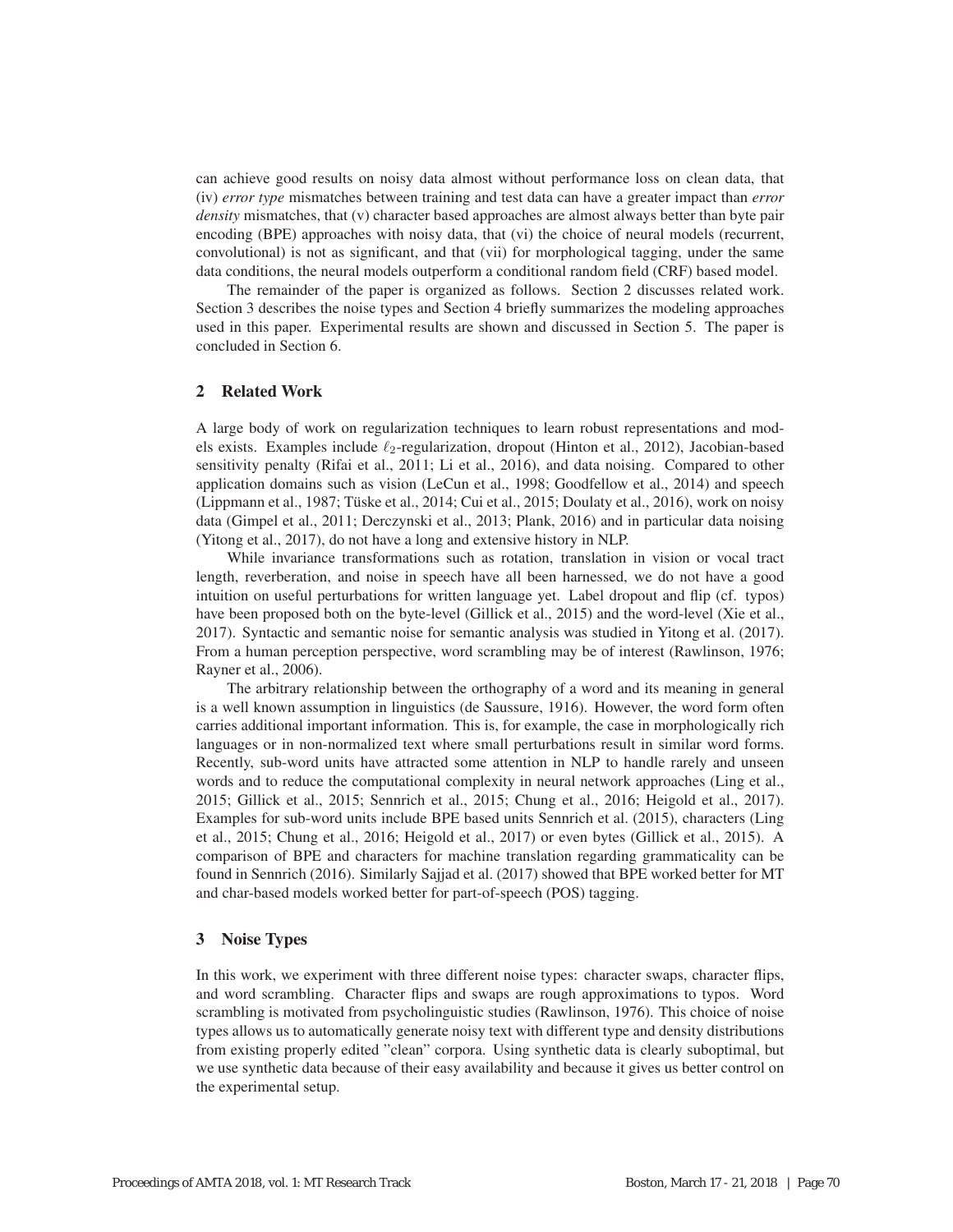can achieve good results on noisy data almost without performance loss on clean data, that (iv) *error type* mismatches between training and test data can have a greater impact than *error density* mismatches, that (v) character based approaches are almost always better than byte pair encoding (BPE) approaches with noisy data, that (vi) the choice of neural models (recurrent, convolutional) is not as significant, and that (vii) for morphological tagging, under the same data conditions, the neural models outperform a conditional random field (CRF) based model.

The remainder of the paper is organized as follows. Section 2 discusses related work. Section 3 describes the noise types and Section 4 briefly summarizes the modeling approaches used in this paper. Experimental results are shown and discussed in Section 5. The paper is concluded in Section 6.

# 2 Related Work

A large body of work on regularization techniques to learn robust representations and models exists. Examples include  $\ell_2$ -regularization, dropout (Hinton et al., 2012), Jacobian-based sensitivity penalty (Rifai et al., 2011; Li et al., 2016), and data noising. Compared to other application domains such as vision (LeCun et al., 1998; Goodfellow et al., 2014) and speech (Lippmann et al., 1987; Tuske et al., 2014; Cui et al., 2015; Doulaty et al., 2016), work on noisy ¨ data (Gimpel et al., 2011; Derczynski et al., 2013; Plank, 2016) and in particular data noising (Yitong et al., 2017), do not have a long and extensive history in NLP.

While invariance transformations such as rotation, translation in vision or vocal tract length, reverberation, and noise in speech have all been harnessed, we do not have a good intuition on useful perturbations for written language yet. Label dropout and flip (cf. typos) have been proposed both on the byte-level (Gillick et al., 2015) and the word-level (Xie et al., 2017). Syntactic and semantic noise for semantic analysis was studied in Yitong et al. (2017). From a human perception perspective, word scrambling may be of interest (Rawlinson, 1976; Rayner et al., 2006).

The arbitrary relationship between the orthography of a word and its meaning in general is a well known assumption in linguistics (de Saussure, 1916). However, the word form often carries additional important information. This is, for example, the case in morphologically rich languages or in non-normalized text where small perturbations result in similar word forms. Recently, sub-word units have attracted some attention in NLP to handle rarely and unseen words and to reduce the computational complexity in neural network approaches (Ling et al., 2015; Gillick et al., 2015; Sennrich et al., 2015; Chung et al., 2016; Heigold et al., 2017). Examples for sub-word units include BPE based units Sennrich et al. (2015), characters (Ling et al., 2015; Chung et al., 2016; Heigold et al., 2017) or even bytes (Gillick et al., 2015). A comparison of BPE and characters for machine translation regarding grammaticality can be found in Sennrich (2016). Similarly Sajjad et al. (2017) showed that BPE worked better for MT and char-based models worked better for part-of-speech (POS) tagging.

## 3 Noise Types

In this work, we experiment with three different noise types: character swaps, character flips, and word scrambling. Character flips and swaps are rough approximations to typos. Word scrambling is motivated from psycholinguistic studies (Rawlinson, 1976). This choice of noise types allows us to automatically generate noisy text with different type and density distributions from existing properly edited "clean" corpora. Using synthetic data is clearly suboptimal, but we use synthetic data because of their easy availability and because it gives us better control on the experimental setup.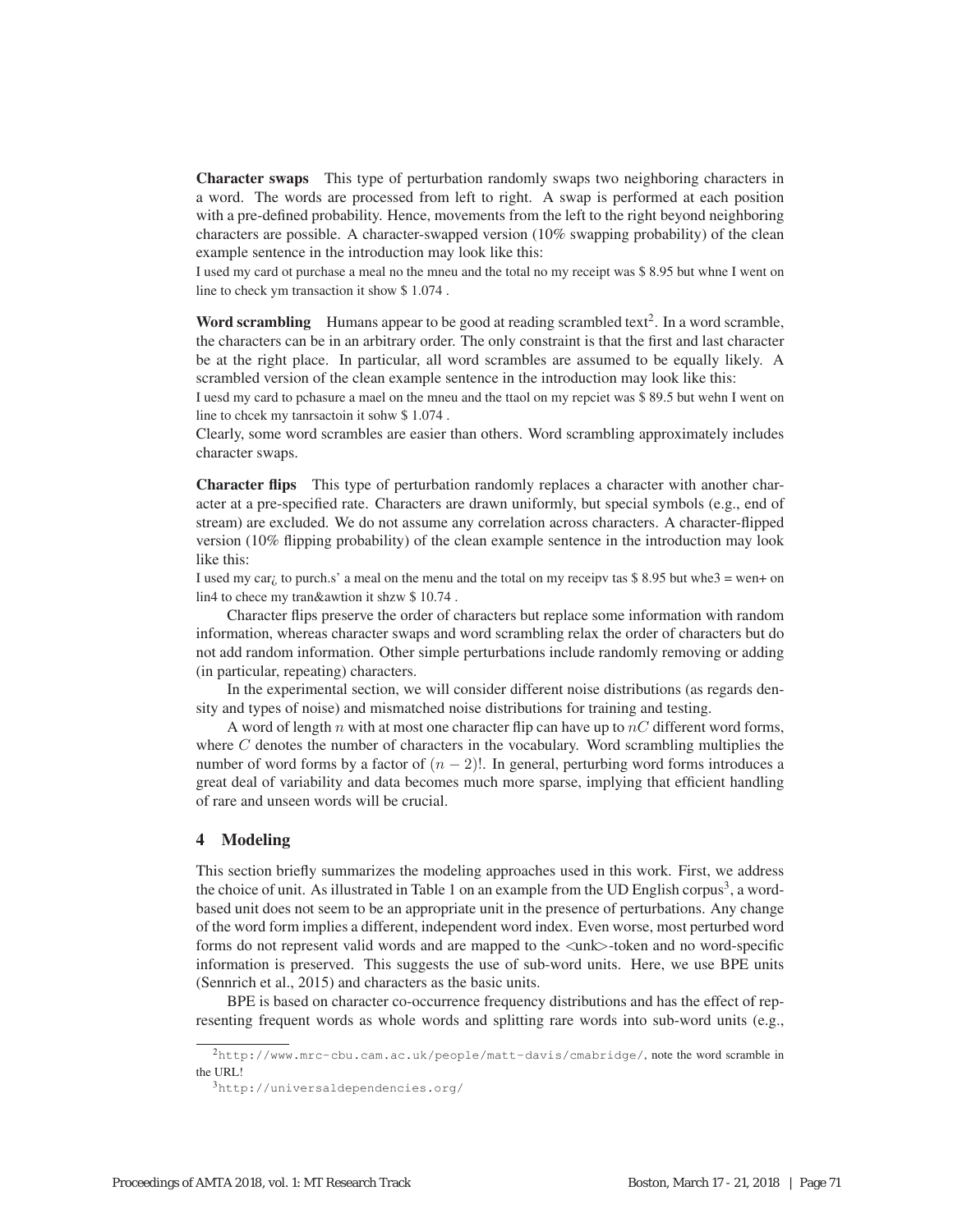Character swaps This type of perturbation randomly swaps two neighboring characters in a word. The words are processed from left to right. A swap is performed at each position with a pre-defined probability. Hence, movements from the left to the right beyond neighboring characters are possible. A character-swapped version (10% swapping probability) of the clean example sentence in the introduction may look like this:

I used my card ot purchase a meal no the mneu and the total no my receipt was \$ 8.95 but whne I went on line to check ym transaction it show \$ 1.074 .

**Word scrambling** Humans appear to be good at reading scrambled text<sup>2</sup>. In a word scramble, the characters can be in an arbitrary order. The only constraint is that the first and last character be at the right place. In particular, all word scrambles are assumed to be equally likely. A scrambled version of the clean example sentence in the introduction may look like this:

I uesd my card to pchasure a mael on the mneu and the ttaol on my repciet was \$ 89.5 but wehn I went on line to chcek my tanrsactoin it sohw \$ 1.074 .

Clearly, some word scrambles are easier than others. Word scrambling approximately includes character swaps.

Character flips This type of perturbation randomly replaces a character with another character at a pre-specified rate. Characters are drawn uniformly, but special symbols (e.g., end of stream) are excluded. We do not assume any correlation across characters. A character-flipped version (10% flipping probability) of the clean example sentence in the introduction may look like this:

I used my car<sub>i</sub> to purch.s' a meal on the menu and the total on my receipv tas \$8.95 but whe3 = wen+ on lin4 to chece my tran&awtion it shzw \$ 10.74 .

Character flips preserve the order of characters but replace some information with random information, whereas character swaps and word scrambling relax the order of characters but do not add random information. Other simple perturbations include randomly removing or adding (in particular, repeating) characters.

In the experimental section, we will consider different noise distributions (as regards density and types of noise) and mismatched noise distributions for training and testing.

A word of length n with at most one character flip can have up to  $nC$  different word forms, where  $C$  denotes the number of characters in the vocabulary. Word scrambling multiplies the number of word forms by a factor of  $(n - 2)!$ . In general, perturbing word forms introduces a great deal of variability and data becomes much more sparse, implying that efficient handling of rare and unseen words will be crucial.

## 4 Modeling

This section briefly summarizes the modeling approaches used in this work. First, we address the choice of unit. As illustrated in Table 1 on an example from the UD English corpus<sup>3</sup>, a wordbased unit does not seem to be an appropriate unit in the presence of perturbations. Any change of the word form implies a different, independent word index. Even worse, most perturbed word forms do not represent valid words and are mapped to the  $\langle$ unk $\rangle$ -token and no word-specific information is preserved. This suggests the use of sub-word units. Here, we use BPE units (Sennrich et al., 2015) and characters as the basic units.

BPE is based on character co-occurrence frequency distributions and has the effect of representing frequent words as whole words and splitting rare words into sub-word units (e.g.,

<sup>2</sup>http://www.mrc-cbu.cam.ac.uk/people/matt-davis/cmabridge/, note the word scramble in the URL!

<sup>3</sup>http://universaldependencies.org/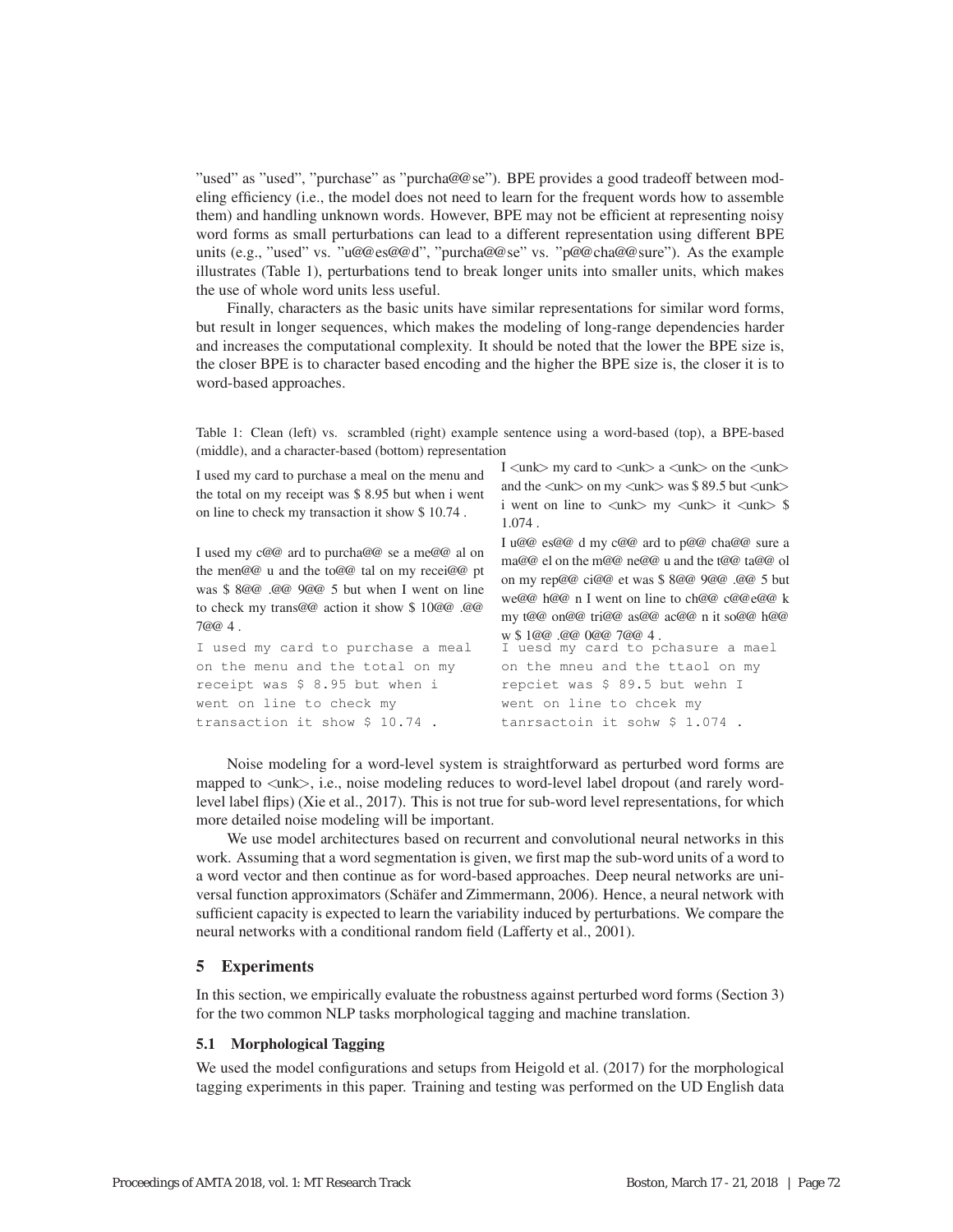"used" as "used", "purchase" as "purcha@@se"). BPE provides a good tradeoff between modeling efficiency (i.e., the model does not need to learn for the frequent words how to assemble them) and handling unknown words. However, BPE may not be efficient at representing noisy word forms as small perturbations can lead to a different representation using different BPE units (e.g., "used" vs. "u@@es@@d", "purcha@@se" vs. "p@@cha@@sure"). As the example illustrates (Table 1), perturbations tend to break longer units into smaller units, which makes the use of whole word units less useful.

Finally, characters as the basic units have similar representations for similar word forms, but result in longer sequences, which makes the modeling of long-range dependencies harder and increases the computational complexity. It should be noted that the lower the BPE size is, the closer BPE is to character based encoding and the higher the BPE size is, the closer it is to word-based approaches.

Table 1: Clean (left) vs. scrambled (right) example sentence using a word-based (top), a BPE-based (middle), and a character-based (bottom) representation

| I used my card to purchase a meal on the menu and<br>the total on my receipt was \$8.95 but when i went<br>on line to check my transaction it show \$10.74.                                                                                    | I $\langle$ unk $\rangle$ my card to $\langle$ unk $\rangle$ a $\langle$ unk $\rangle$ on the $\langle$ unk $\rangle$<br>and the $\langle$ unk $\rangle$ on my $\langle$ unk $\rangle$ was \$ 89.5 but $\langle$ unk $\rangle$<br>i went on line to $\langle \text{unk} \rangle$ my $\langle \text{unk} \rangle$ it $\langle \text{unk} \rangle$ \$<br>$1.074$ . |
|------------------------------------------------------------------------------------------------------------------------------------------------------------------------------------------------------------------------------------------------|------------------------------------------------------------------------------------------------------------------------------------------------------------------------------------------------------------------------------------------------------------------------------------------------------------------------------------------------------------------|
| I used my c@@ ard to purcha@@ se a me@@ al on<br>the men@@ u and the to@@ tal on my recei@@ pt<br>was \$8000.000 9000 5 but when I went on line<br>to check my trans@@ action it show \$10@@ .@@<br>7@@4.<br>I used my card to purchase a meal | I u@@ es@@ d my c@@ ard to p@@ cha@@ sure a<br>ma@@ el on the m@@ ne@@ u and the t@@ ta@@ ol<br>on my rep@@ ci@@ et was \$8@@ 9@@ .@@ 5 but<br>we@@ h@@ n I went on line to ch@@ c@@e@@ k<br>my t@@ on@@ tri@@ as@@ ac@@ n it so@@ h@@<br>w \$1@@ .@@ 0@@ 7@@ 4.<br>I uesd my card to pchasure a mael                                                            |
| on the menu and the total on my                                                                                                                                                                                                                | on the mneu and the ttaol on my                                                                                                                                                                                                                                                                                                                                  |
| receipt was \$ 8.95 but when i                                                                                                                                                                                                                 | repciet was \$ 89.5 but wehn I                                                                                                                                                                                                                                                                                                                                   |
| went on line to check my                                                                                                                                                                                                                       | went on line to chcek my                                                                                                                                                                                                                                                                                                                                         |
| transaction it show \$ 10.74.                                                                                                                                                                                                                  | tanrsactoin it sohw \$ 1.074.                                                                                                                                                                                                                                                                                                                                    |
|                                                                                                                                                                                                                                                |                                                                                                                                                                                                                                                                                                                                                                  |

Noise modeling for a word-level system is straightforward as perturbed word forms are mapped to  $\langle$ unk $\rangle$ , i.e., noise modeling reduces to word-level label dropout (and rarely wordlevel label flips) (Xie et al., 2017). This is not true for sub-word level representations, for which more detailed noise modeling will be important.

We use model architectures based on recurrent and convolutional neural networks in this work. Assuming that a word segmentation is given, we first map the sub-word units of a word to a word vector and then continue as for word-based approaches. Deep neural networks are universal function approximators (Schäfer and Zimmermann, 2006). Hence, a neural network with sufficient capacity is expected to learn the variability induced by perturbations. We compare the neural networks with a conditional random field (Lafferty et al., 2001).

# 5 Experiments

In this section, we empirically evaluate the robustness against perturbed word forms (Section 3) for the two common NLP tasks morphological tagging and machine translation.

## 5.1 Morphological Tagging

We used the model configurations and setups from Heigold et al. (2017) for the morphological tagging experiments in this paper. Training and testing was performed on the UD English data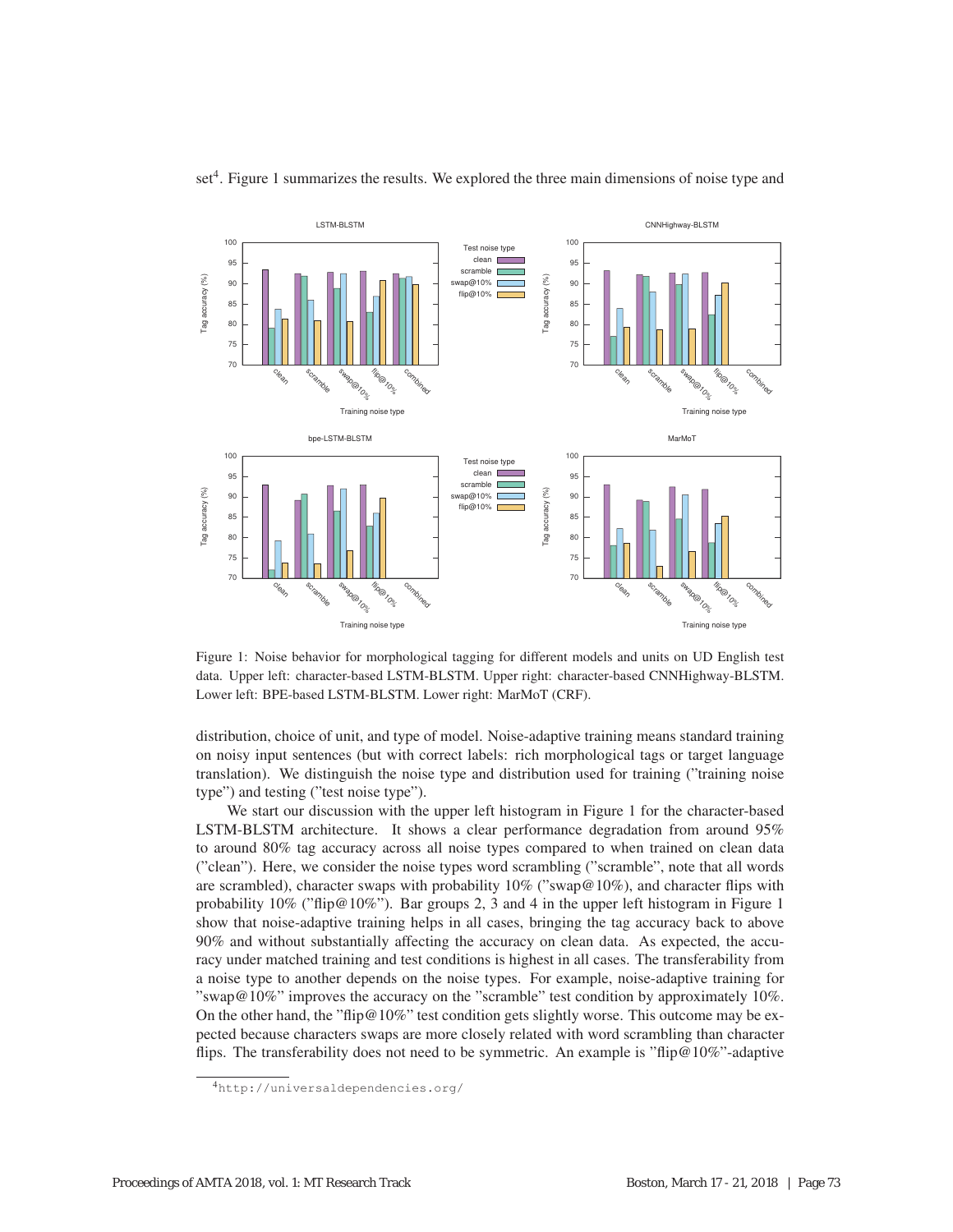

 $set<sup>4</sup>$ . Figure 1 summarizes the results. We explored the three main dimensions of noise type and

Figure 1: Noise behavior for morphological tagging for different models and units on UD English test data. Upper left: character-based LSTM-BLSTM. Upper right: character-based CNNHighway-BLSTM. Lower left: BPE-based LSTM-BLSTM. Lower right: MarMoT (CRF).

distribution, choice of unit, and type of model. Noise-adaptive training means standard training on noisy input sentences (but with correct labels: rich morphological tags or target language translation). We distinguish the noise type and distribution used for training ("training noise type") and testing ("test noise type").

We start our discussion with the upper left histogram in Figure 1 for the character-based LSTM-BLSTM architecture. It shows a clear performance degradation from around 95% to around 80% tag accuracy across all noise types compared to when trained on clean data ("clean"). Here, we consider the noise types word scrambling ("scramble", note that all words are scrambled), character swaps with probability  $10\%$  ("swap@10%), and character flips with probability  $10\%$  ("flip@10%"). Bar groups 2, 3 and 4 in the upper left histogram in Figure 1 show that noise-adaptive training helps in all cases, bringing the tag accuracy back to above 90% and without substantially affecting the accuracy on clean data. As expected, the accuracy under matched training and test conditions is highest in all cases. The transferability from a noise type to another depends on the noise types. For example, noise-adaptive training for "swap@10%" improves the accuracy on the "scramble" test condition by approximately 10%. On the other hand, the "flip@10%" test condition gets slightly worse. This outcome may be expected because characters swaps are more closely related with word scrambling than character flips. The transferability does not need to be symmetric. An example is "flip@10%"-adaptive

<sup>4</sup>http://universaldependencies.org/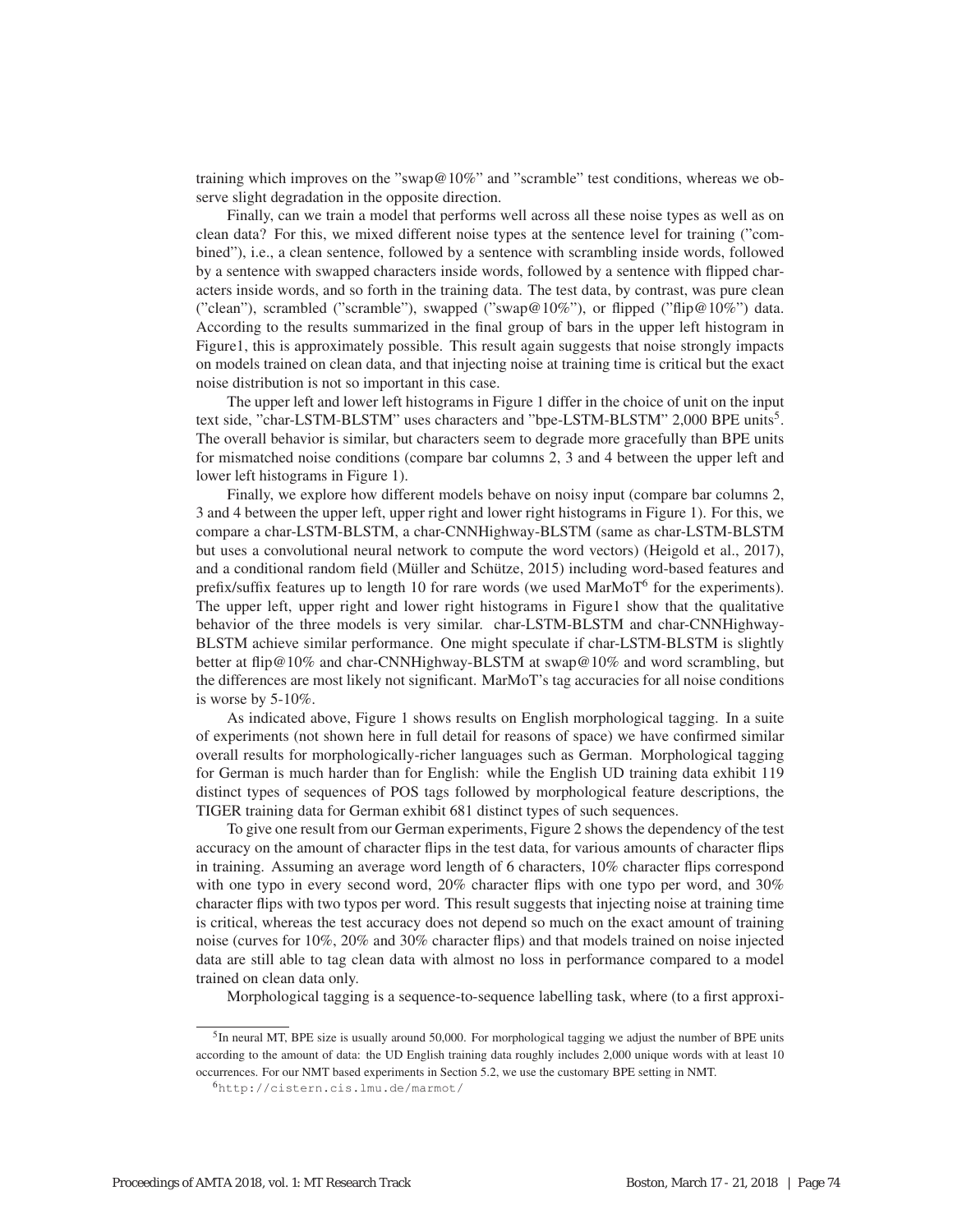training which improves on the "swap@10%" and "scramble" test conditions, whereas we observe slight degradation in the opposite direction.

Finally, can we train a model that performs well across all these noise types as well as on clean data? For this, we mixed different noise types at the sentence level for training ("combined"), i.e., a clean sentence, followed by a sentence with scrambling inside words, followed by a sentence with swapped characters inside words, followed by a sentence with flipped characters inside words, and so forth in the training data. The test data, by contrast, was pure clean ("clean"), scrambled ("scramble"), swapped ("swap@10%"), or flipped ("flip@10%") data. According to the results summarized in the final group of bars in the upper left histogram in Figure1, this is approximately possible. This result again suggests that noise strongly impacts on models trained on clean data, and that injecting noise at training time is critical but the exact noise distribution is not so important in this case.

The upper left and lower left histograms in Figure 1 differ in the choice of unit on the input text side, "char-LSTM-BLSTM" uses characters and "bpe-LSTM-BLSTM" 2,000 BPE units5. The overall behavior is similar, but characters seem to degrade more gracefully than BPE units for mismatched noise conditions (compare bar columns 2, 3 and 4 between the upper left and lower left histograms in Figure 1).

Finally, we explore how different models behave on noisy input (compare bar columns 2, 3 and 4 between the upper left, upper right and lower right histograms in Figure 1). For this, we compare a char-LSTM-BLSTM, a char-CNNHighway-BLSTM (same as char-LSTM-BLSTM but uses a convolutional neural network to compute the word vectors) (Heigold et al., 2017), and a conditional random field (Müller and Schütze, 2015) including word-based features and prefix/suffix features up to length 10 for rare words (we used  $\text{MarMoT}^6$  for the experiments). The upper left, upper right and lower right histograms in Figure1 show that the qualitative behavior of the three models is very similar. char-LSTM-BLSTM and char-CNNHighway-BLSTM achieve similar performance. One might speculate if char-LSTM-BLSTM is slightly better at flip@10% and char-CNNHighway-BLSTM at swap@10% and word scrambling, but the differences are most likely not significant. MarMoT's tag accuracies for all noise conditions is worse by 5-10%.

As indicated above, Figure 1 shows results on English morphological tagging. In a suite of experiments (not shown here in full detail for reasons of space) we have confirmed similar overall results for morphologically-richer languages such as German. Morphological tagging for German is much harder than for English: while the English UD training data exhibit 119 distinct types of sequences of POS tags followed by morphological feature descriptions, the TIGER training data for German exhibit 681 distinct types of such sequences.

To give one result from our German experiments, Figure 2 shows the dependency of the test accuracy on the amount of character flips in the test data, for various amounts of character flips in training. Assuming an average word length of 6 characters, 10% character flips correspond with one typo in every second word, 20% character flips with one typo per word, and 30% character flips with two typos per word. This result suggests that injecting noise at training time is critical, whereas the test accuracy does not depend so much on the exact amount of training noise (curves for 10%, 20% and 30% character flips) and that models trained on noise injected data are still able to tag clean data with almost no loss in performance compared to a model trained on clean data only.

Morphological tagging is a sequence-to-sequence labelling task, where (to a first approxi-

<sup>5</sup>In neural MT, BPE size is usually around 50,000. For morphological tagging we adjust the number of BPE units according to the amount of data: the UD English training data roughly includes 2,000 unique words with at least 10 occurrences. For our NMT based experiments in Section 5.2, we use the customary BPE setting in NMT.

<sup>6</sup>http://cistern.cis.lmu.de/marmot/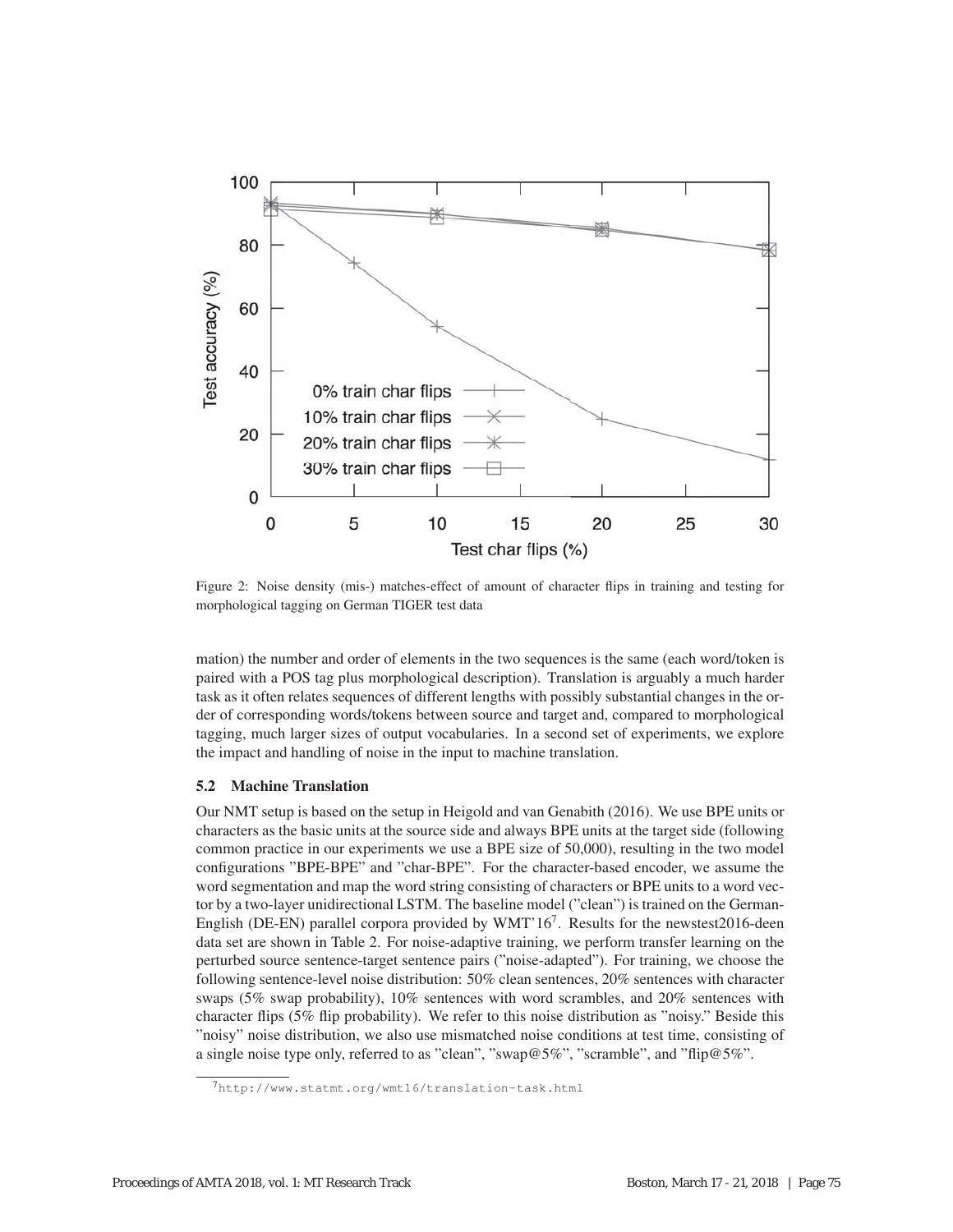

Figure 2: Noise density (mis-) matches-effect of amount of character flips in training and testing for morphological tagging on German TIGER test data

mation) the number and order of elements in the two sequences is the same (each word/token is paired with a POS tag plus morphological description). Translation is arguably a much harder task as it often relates sequences of different lengths with possibly substantial changes in the order of corresponding words/tokens between source and target and, compared to morphological tagging, much larger sizes of output vocabularies. In a second set of experiments, we explore the impact and handling of noise in the input to machine translation.

## 5.2 Machine Translation

Our NMT setup is based on the setup in Heigold and van Genabith (2016). We use BPE units or characters as the basic units at the source side and always BPE units at the target side (following common practice in our experiments we use a BPE size of 50,000), resulting in the two model configurations "BPE-BPE" and "char-BPE". For the character-based encoder, we assume the word segmentation and map the word string consisting of characters or BPE units to a word vector by a two-layer unidirectional LSTM. The baseline model ("clean") is trained on the German-English (DE-EN) parallel corpora provided by  $WMT'16^7$ . Results for the newstest2016-deen data set are shown in Table 2. For noise-adaptive training, we perform transfer learning on the perturbed source sentence-target sentence pairs ("noise-adapted"). For training, we choose the following sentence-level noise distribution: 50% clean sentences, 20% sentences with character swaps (5% swap probability), 10% sentences with word scrambles, and 20% sentences with character flips (5% flip probability). We refer to this noise distribution as "noisy." Beside this "noisy" noise distribution, we also use mismatched noise conditions at test time, consisting of a single noise type only, referred to as "clean", "swap@5%", "scramble", and "flip@5%".

<sup>7</sup>http://www.statmt.org/wmt16/translation-task.html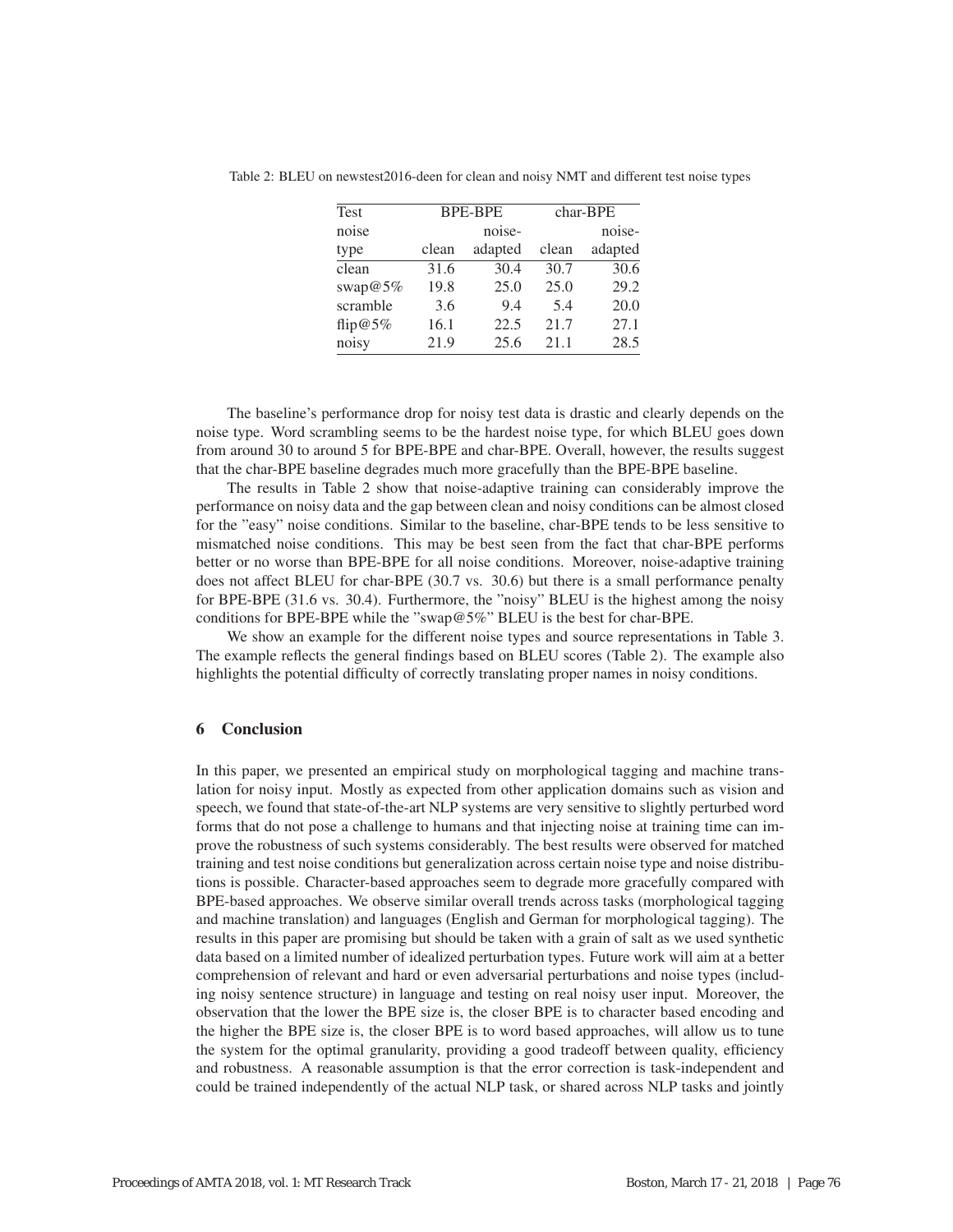| <b>Test</b> | <b>BPE-BPE</b> |         | char-BPE |                  |
|-------------|----------------|---------|----------|------------------|
| noise       |                | noise-  |          | noise-           |
| type        | clean          | adapted | clean    | adapted          |
| clean       | 31.6           | 30.4    | 30.7     | $\frac{30.6}{ }$ |
| swap $@5\%$ | 19.8           | 25.0    | 25.0     | 29.2             |
| scramble    | 3.6            | 9.4     | 5.4      | 20.0             |
| flip@5%     | 16.1           | 22.5    | 21.7     | 27.1             |
| noisy       | 21.9           | 25.6    | 21.1     | 28.5             |

Table 2: BLEU on newstest2016-deen for clean and noisy NMT and different test noise types

The baseline's performance drop for noisy test data is drastic and clearly depends on the noise type. Word scrambling seems to be the hardest noise type, for which BLEU goes down from around 30 to around 5 for BPE-BPE and char-BPE. Overall, however, the results suggest that the char-BPE baseline degrades much more gracefully than the BPE-BPE baseline.

The results in Table 2 show that noise-adaptive training can considerably improve the performance on noisy data and the gap between clean and noisy conditions can be almost closed for the "easy" noise conditions. Similar to the baseline, char-BPE tends to be less sensitive to mismatched noise conditions. This may be best seen from the fact that char-BPE performs better or no worse than BPE-BPE for all noise conditions. Moreover, noise-adaptive training does not affect BLEU for char-BPE (30.7 vs. 30.6) but there is a small performance penalty for BPE-BPE (31.6 vs. 30.4). Furthermore, the "noisy" BLEU is the highest among the noisy conditions for BPE-BPE while the "swap@5%" BLEU is the best for char-BPE.

We show an example for the different noise types and source representations in Table 3. The example reflects the general findings based on BLEU scores (Table 2). The example also highlights the potential difficulty of correctly translating proper names in noisy conditions.

# 6 Conclusion

In this paper, we presented an empirical study on morphological tagging and machine translation for noisy input. Mostly as expected from other application domains such as vision and speech, we found that state-of-the-art NLP systems are very sensitive to slightly perturbed word forms that do not pose a challenge to humans and that injecting noise at training time can improve the robustness of such systems considerably. The best results were observed for matched training and test noise conditions but generalization across certain noise type and noise distributions is possible. Character-based approaches seem to degrade more gracefully compared with BPE-based approaches. We observe similar overall trends across tasks (morphological tagging and machine translation) and languages (English and German for morphological tagging). The results in this paper are promising but should be taken with a grain of salt as we used synthetic data based on a limited number of idealized perturbation types. Future work will aim at a better comprehension of relevant and hard or even adversarial perturbations and noise types (including noisy sentence structure) in language and testing on real noisy user input. Moreover, the observation that the lower the BPE size is, the closer BPE is to character based encoding and the higher the BPE size is, the closer BPE is to word based approaches, will allow us to tune the system for the optimal granularity, providing a good tradeoff between quality, efficiency and robustness. A reasonable assumption is that the error correction is task-independent and could be trained independently of the actual NLP task, or shared across NLP tasks and jointly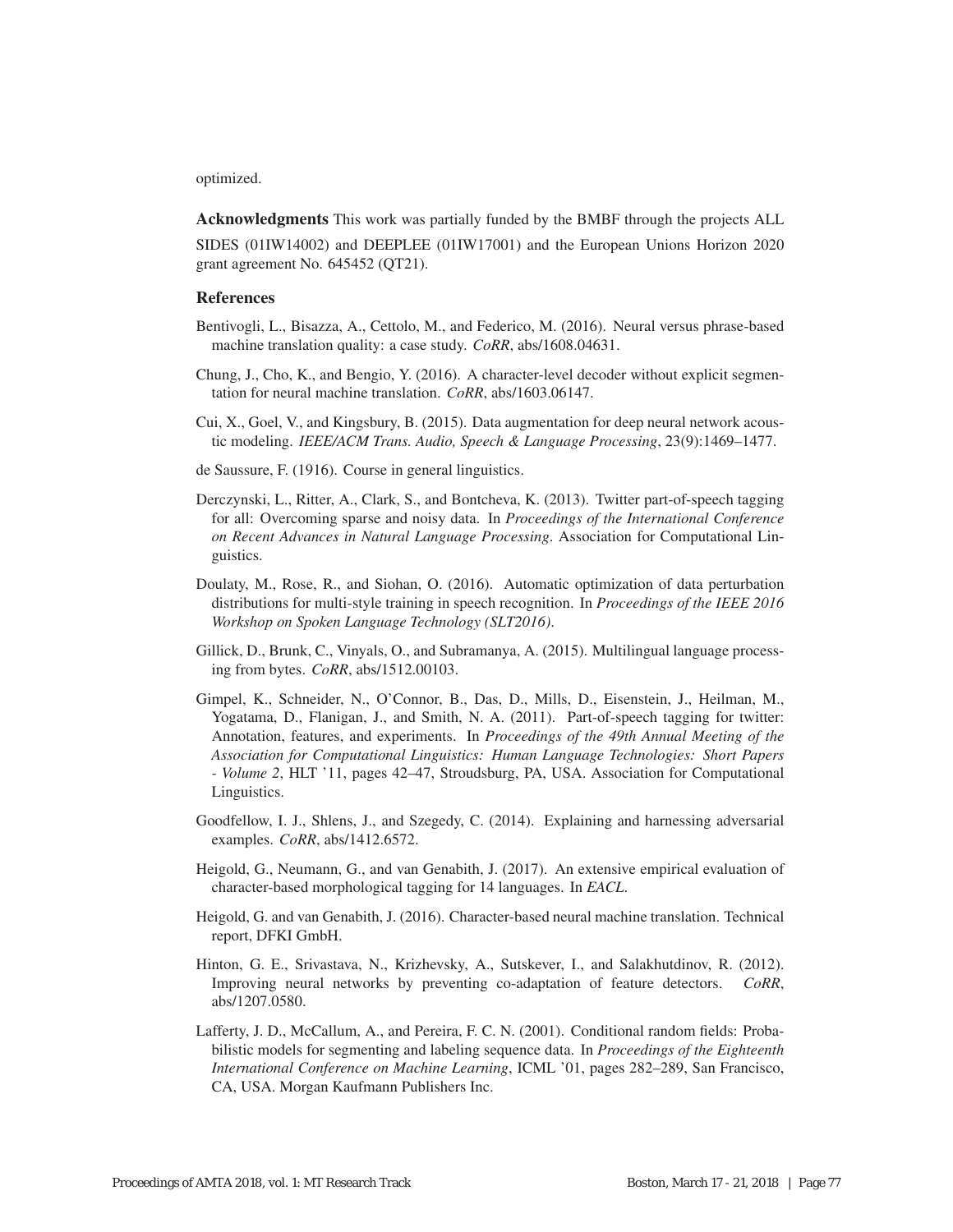## optimized.

Acknowledgments This work was partially funded by the BMBF through the projects ALL

SIDES (01IW14002) and DEEPLEE (01IW17001) and the European Unions Horizon 2020 grant agreement No. 645452 (QT21).

# References

- Bentivogli, L., Bisazza, A., Cettolo, M., and Federico, M. (2016). Neural versus phrase-based machine translation quality: a case study. *CoRR*, abs/1608.04631.
- Chung, J., Cho, K., and Bengio, Y. (2016). A character-level decoder without explicit segmentation for neural machine translation. *CoRR*, abs/1603.06147.
- Cui, X., Goel, V., and Kingsbury, B. (2015). Data augmentation for deep neural network acoustic modeling. *IEEE/ACM Trans. Audio, Speech & Language Processing*, 23(9):1469–1477.
- de Saussure, F. (1916). Course in general linguistics.
- Derczynski, L., Ritter, A., Clark, S., and Bontcheva, K. (2013). Twitter part-of-speech tagging for all: Overcoming sparse and noisy data. In *Proceedings of the International Conference on Recent Advances in Natural Language Processing*. Association for Computational Linguistics.
- Doulaty, M., Rose, R., and Siohan, O. (2016). Automatic optimization of data perturbation distributions for multi-style training in speech recognition. In *Proceedings of the IEEE 2016 Workshop on Spoken Language Technology (SLT2016)*.
- Gillick, D., Brunk, C., Vinyals, O., and Subramanya, A. (2015). Multilingual language processing from bytes. *CoRR*, abs/1512.00103.
- Gimpel, K., Schneider, N., O'Connor, B., Das, D., Mills, D., Eisenstein, J., Heilman, M., Yogatama, D., Flanigan, J., and Smith, N. A. (2011). Part-of-speech tagging for twitter: Annotation, features, and experiments. In *Proceedings of the 49th Annual Meeting of the Association for Computational Linguistics: Human Language Technologies: Short Papers - Volume 2*, HLT '11, pages 42–47, Stroudsburg, PA, USA. Association for Computational Linguistics.
- Goodfellow, I. J., Shlens, J., and Szegedy, C. (2014). Explaining and harnessing adversarial examples. *CoRR*, abs/1412.6572.
- Heigold, G., Neumann, G., and van Genabith, J. (2017). An extensive empirical evaluation of character-based morphological tagging for 14 languages. In *EACL*.
- Heigold, G. and van Genabith, J. (2016). Character-based neural machine translation. Technical report, DFKI GmbH.
- Hinton, G. E., Srivastava, N., Krizhevsky, A., Sutskever, I., and Salakhutdinov, R. (2012). Improving neural networks by preventing co-adaptation of feature detectors. *CoRR*, abs/1207.0580.
- Lafferty, J. D., McCallum, A., and Pereira, F. C. N. (2001). Conditional random fields: Probabilistic models for segmenting and labeling sequence data. In *Proceedings of the Eighteenth International Conference on Machine Learning*, ICML '01, pages 282–289, San Francisco, CA, USA. Morgan Kaufmann Publishers Inc.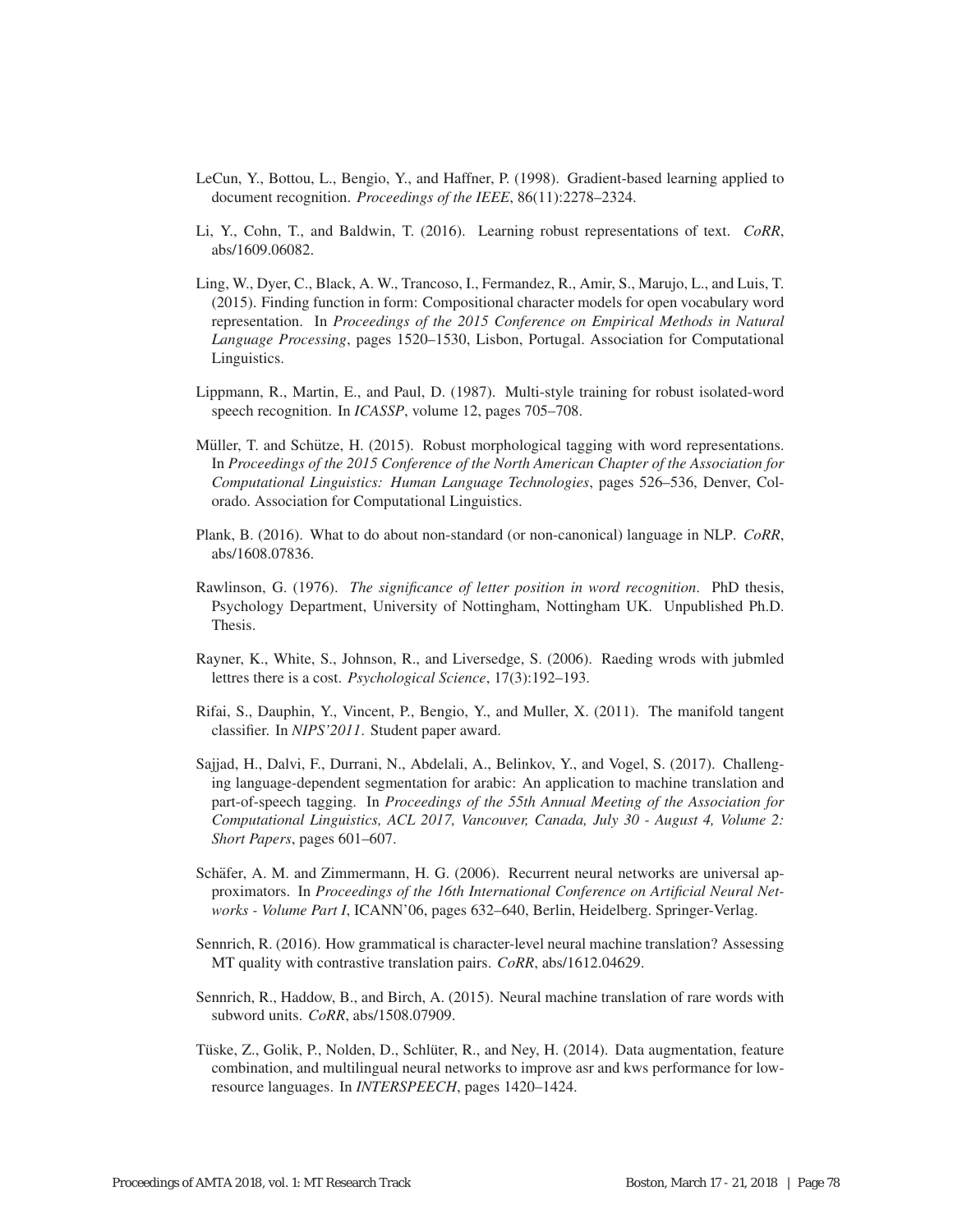- LeCun, Y., Bottou, L., Bengio, Y., and Haffner, P. (1998). Gradient-based learning applied to document recognition. *Proceedings of the IEEE*, 86(11):2278–2324.
- Li, Y., Cohn, T., and Baldwin, T. (2016). Learning robust representations of text. *CoRR*, abs/1609.06082.
- Ling, W., Dyer, C., Black, A. W., Trancoso, I., Fermandez, R., Amir, S., Marujo, L., and Luis, T. (2015). Finding function in form: Compositional character models for open vocabulary word representation. In *Proceedings of the 2015 Conference on Empirical Methods in Natural Language Processing*, pages 1520–1530, Lisbon, Portugal. Association for Computational Linguistics.
- Lippmann, R., Martin, E., and Paul, D. (1987). Multi-style training for robust isolated-word speech recognition. In *ICASSP*, volume 12, pages 705–708.
- Müller, T. and Schütze, H. (2015). Robust morphological tagging with word representations. In *Proceedings of the 2015 Conference of the North American Chapter of the Association for Computational Linguistics: Human Language Technologies*, pages 526–536, Denver, Colorado. Association for Computational Linguistics.
- Plank, B. (2016). What to do about non-standard (or non-canonical) language in NLP. *CoRR*, abs/1608.07836.
- Rawlinson, G. (1976). *The significance of letter position in word recognition*. PhD thesis, Psychology Department, University of Nottingham, Nottingham UK. Unpublished Ph.D. Thesis.
- Rayner, K., White, S., Johnson, R., and Liversedge, S. (2006). Raeding wrods with jubmled lettres there is a cost. *Psychological Science*, 17(3):192–193.
- Rifai, S., Dauphin, Y., Vincent, P., Bengio, Y., and Muller, X. (2011). The manifold tangent classifier. In *NIPS'2011*. Student paper award.
- Sajjad, H., Dalvi, F., Durrani, N., Abdelali, A., Belinkov, Y., and Vogel, S. (2017). Challenging language-dependent segmentation for arabic: An application to machine translation and part-of-speech tagging. In *Proceedings of the 55th Annual Meeting of the Association for Computational Linguistics, ACL 2017, Vancouver, Canada, July 30 - August 4, Volume 2: Short Papers*, pages 601–607.
- Schäfer, A. M. and Zimmermann, H. G. (2006). Recurrent neural networks are universal approximators. In *Proceedings of the 16th International Conference on Artificial Neural Networks - Volume Part I*, ICANN'06, pages 632–640, Berlin, Heidelberg. Springer-Verlag.
- Sennrich, R. (2016). How grammatical is character-level neural machine translation? Assessing MT quality with contrastive translation pairs. *CoRR*, abs/1612.04629.
- Sennrich, R., Haddow, B., and Birch, A. (2015). Neural machine translation of rare words with subword units. *CoRR*, abs/1508.07909.
- Tüske, Z., Golik, P., Nolden, D., Schlüter, R., and Ney, H. (2014). Data augmentation, feature combination, and multilingual neural networks to improve asr and kws performance for lowresource languages. In *INTERSPEECH*, pages 1420–1424.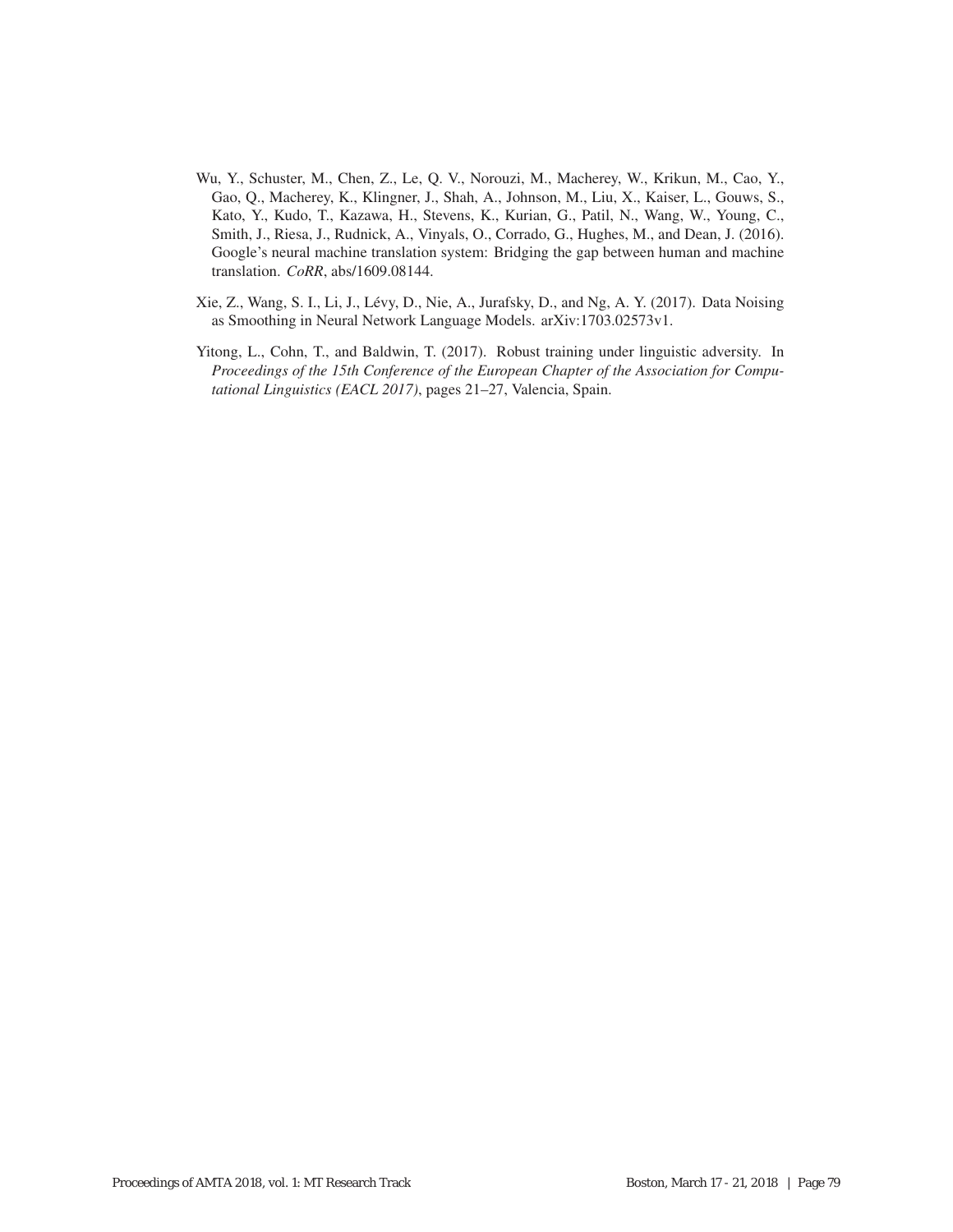- Wu, Y., Schuster, M., Chen, Z., Le, Q. V., Norouzi, M., Macherey, W., Krikun, M., Cao, Y., Gao, Q., Macherey, K., Klingner, J., Shah, A., Johnson, M., Liu, X., Kaiser, L., Gouws, S., Kato, Y., Kudo, T., Kazawa, H., Stevens, K., Kurian, G., Patil, N., Wang, W., Young, C., Smith, J., Riesa, J., Rudnick, A., Vinyals, O., Corrado, G., Hughes, M., and Dean, J. (2016). Google's neural machine translation system: Bridging the gap between human and machine translation. *CoRR*, abs/1609.08144.
- Xie, Z., Wang, S. I., Li, J., Levy, D., Nie, A., Jurafsky, D., and Ng, A. Y. (2017). Data Noising ´ as Smoothing in Neural Network Language Models. arXiv:1703.02573v1.
- Yitong, L., Cohn, T., and Baldwin, T. (2017). Robust training under linguistic adversity. In *Proceedings of the 15th Conference of the European Chapter of the Association for Computational Linguistics (EACL 2017)*, pages 21–27, Valencia, Spain.